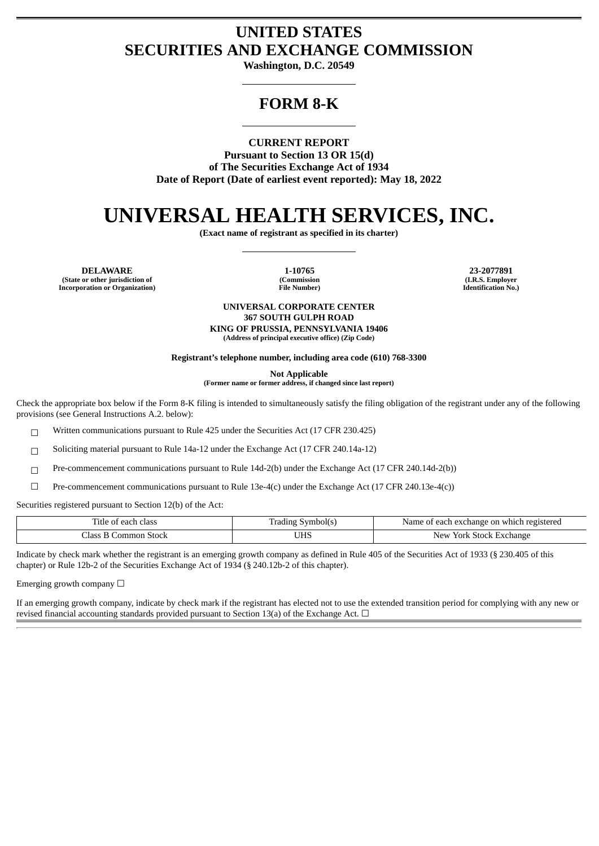## **UNITED STATES SECURITIES AND EXCHANGE COMMISSION**

**Washington, D.C. 20549**

## **FORM 8-K**

### **CURRENT REPORT**

**Pursuant to Section 13 OR 15(d) of The Securities Exchange Act of 1934 Date of Report (Date of earliest event reported): May 18, 2022**

# **UNIVERSAL HEALTH SERVICES, INC.**

**(Exact name of registrant as specified in its charter)**

**DELAWARE 1-10765 23-2077891 (State or other jurisdiction of (Commission (I.R.S. Employer Incorporation** or **Organization**)

#### **UNIVERSAL CORPORATE CENTER 367 SOUTH GULPH ROAD KING OF PRUSSIA, PENNSYLVANIA 19406**

**(Address of principal executive office) (Zip Code)**

**Registrant's telephone number, including area code (610) 768-3300**

**Not Applicable**

**(Former name or former address, if changed since last report)**

Check the appropriate box below if the Form 8-K filing is intended to simultaneously satisfy the filing obligation of the registrant under any of the following provisions (see General Instructions A.2. below):

☐ Written communications pursuant to Rule 425 under the Securities Act (17 CFR 230.425)

☐ Soliciting material pursuant to Rule 14a-12 under the Exchange Act (17 CFR 240.14a-12)

☐ Pre-commencement communications pursuant to Rule 14d-2(b) under the Exchange Act (17 CFR 240.14d-2(b))

 $□$  Pre-commencement communications pursuant to Rule 13e-4(c) under the Exchange Act (17 CFR 240.13e-4(c))

Securities registered pursuant to Section 12(b) of the Act:

| Title<br>class<br>: each<br>$\sim$<br>- 01 | ivmbolí s<br>adıng | t each exchange on which registered t<br>Name |
|--------------------------------------------|--------------------|-----------------------------------------------|
| Stock<br>ommo                              | UHS                | Stock<br>Exchange<br>New<br>York              |

Indicate by check mark whether the registrant is an emerging growth company as defined in Rule 405 of the Securities Act of 1933 (§ 230.405 of this chapter) or Rule 12b-2 of the Securities Exchange Act of 1934 (§ 240.12b-2 of this chapter).

Emerging growth company  $\Box$ 

If an emerging growth company, indicate by check mark if the registrant has elected not to use the extended transition period for complying with any new or revised financial accounting standards provided pursuant to Section 13(a) of the Exchange Act.  $\Box$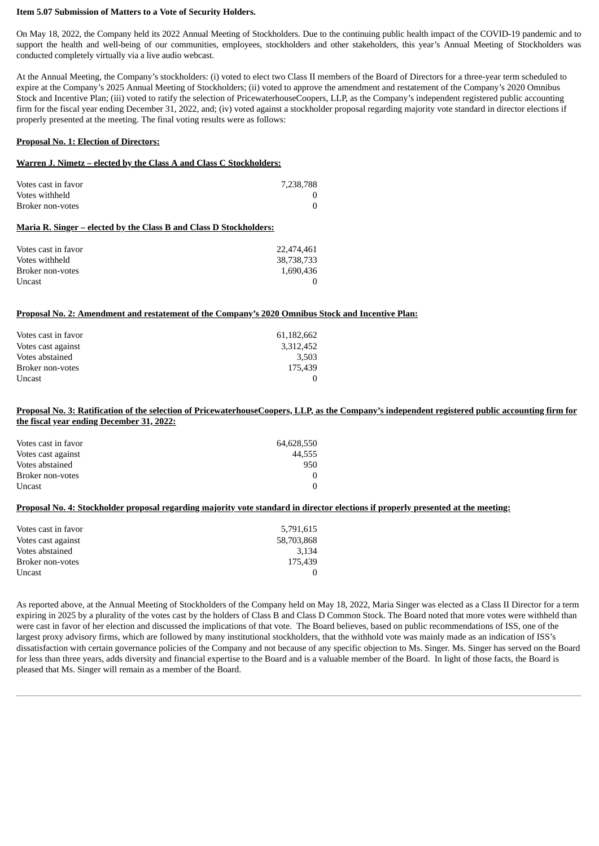#### **Item 5.07 Submission of Matters to a Vote of Security Holders.**

On May 18, 2022, the Company held its 2022 Annual Meeting of Stockholders. Due to the continuing public health impact of the COVID-19 pandemic and to support the health and well-being of our communities, employees, stockholders and other stakeholders, this year's Annual Meeting of Stockholders was conducted completely virtually via a live audio webcast.

At the Annual Meeting, the Company's stockholders: (i) voted to elect two Class II members of the Board of Directors for a three-year term scheduled to expire at the Company's 2025 Annual Meeting of Stockholders; (ii) voted to approve the amendment and restatement of the Company's 2020 Omnibus Stock and Incentive Plan; (iii) voted to ratify the selection of PricewaterhouseCoopers, LLP, as the Company's independent registered public accounting firm for the fiscal year ending December 31, 2022, and; (iv) voted against a stockholder proposal regarding majority vote standard in director elections if properly presented at the meeting. The final voting results were as follows:

#### **Proposal No. 1: Election of Directors:**

#### **Warren J. Nimetz – elected by the Class A and Class C Stockholders:**

| Votes cast in favor<br>Votes withheld<br>Broker non-votes          | 7,238,788  |  |  |  |
|--------------------------------------------------------------------|------------|--|--|--|
| Maria R. Singer – elected by the Class B and Class D Stockholders: |            |  |  |  |
| Votes cast in favor                                                | 22,474,461 |  |  |  |
| Votes withheld                                                     | 38,738,733 |  |  |  |
| Broker non-votes                                                   | 1.690.436  |  |  |  |

Uncast and the contract of the contract of the contract of the contract of the contract of the contract of the contract of the contract of the contract of the contract of the contract of the contract of the contract of the

#### **Proposal No. 2: Amendment and restatement of the Company's 2020 Omnibus Stock and Incentive Plan:**

| Votes cast in favor | 61,182,662 |
|---------------------|------------|
| Votes cast against  | 3.312.452  |
| Votes abstained     | 3.503      |
| Broker non-votes    | 175.439    |
| Uncast              |            |

#### Proposal No. 3: Ratification of the selection of PricewaterhouseCoopers, LLP, as the Company's independent registered public accounting firm for **the fiscal year ending December 31, 2022:**

| Votes cast in favor | 64,628,550 |
|---------------------|------------|
| Votes cast against  | 44.555     |
| Votes abstained     | 950        |
| Broker non-votes    | 0          |
| Uncast              | 0          |

#### Proposal No. 4: Stockholder proposal regarding majority vote standard in director elections if properly presented at the meeting:

| Votes cast in favor | 5,791,615  |
|---------------------|------------|
| Votes cast against  | 58,703,868 |
| Votes abstained     | 3.134      |
| Broker non-votes    | 175.439    |
| Uncast              |            |

As reported above, at the Annual Meeting of Stockholders of the Company held on May 18, 2022, Maria Singer was elected as a Class II Director for a term expiring in 2025 by a plurality of the votes cast by the holders of Class B and Class D Common Stock. The Board noted that more votes were withheld than were cast in favor of her election and discussed the implications of that vote. The Board believes, based on public recommendations of ISS, one of the largest proxy advisory firms, which are followed by many institutional stockholders, that the withhold vote was mainly made as an indication of ISS's dissatisfaction with certain governance policies of the Company and not because of any specific objection to Ms. Singer. Ms. Singer has served on the Board for less than three years, adds diversity and financial expertise to the Board and is a valuable member of the Board. In light of those facts, the Board is pleased that Ms. Singer will remain as a member of the Board.